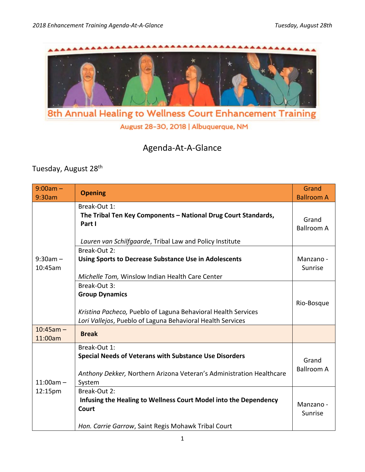

August 28-30, 2018 | Albuquerque, NM

## Agenda-At-A-Glance

Tuesday, August 28<sup>th</sup>

| $9:00am -$<br>9:30am   | <b>Opening</b>                                                                                                                                                       | Grand<br><b>Ballroom A</b> |
|------------------------|----------------------------------------------------------------------------------------------------------------------------------------------------------------------|----------------------------|
| $9:30am -$<br>10:45am  | Break-Out 1:<br>The Tribal Ten Key Components - National Drug Court Standards,<br>Part I<br>Lauren van Schilfgaarde, Tribal Law and Policy Institute                 | Grand<br><b>Ballroom A</b> |
|                        | Break-Out 2:<br><b>Using Sports to Decrease Substance Use in Adolescents</b><br>Michelle Tom, Winslow Indian Health Care Center                                      | Manzano -<br>Sunrise       |
|                        | Break-Out 3:<br><b>Group Dynamics</b><br>Kristina Pacheco, Pueblo of Laguna Behavioral Health Services<br>Lori Vallejos, Pueblo of Laguna Behavioral Health Services | Rio-Bosque                 |
| $10:45am -$<br>11:00am | <b>Break</b>                                                                                                                                                         |                            |
| $11:00am -$<br>12:15pm | Break-Out 1:<br><b>Special Needs of Veterans with Substance Use Disorders</b><br>Anthony Dekker, Northern Arizona Veteran's Administration Healthcare<br>System      | Grand<br><b>Ballroom A</b> |
|                        | Break-Out 2:<br>Infusing the Healing to Wellness Court Model into the Dependency<br>Court<br>Hon. Carrie Garrow, Saint Regis Mohawk Tribal Court                     | Manzano -<br>Sunrise       |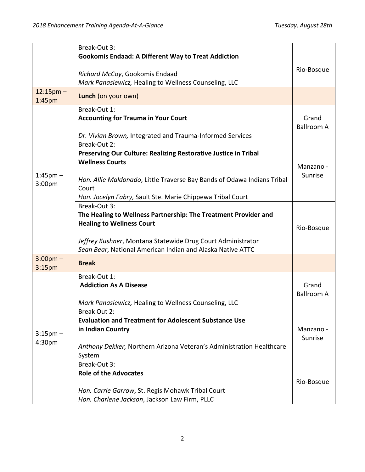|                                    | Break-Out 3:                                                                                        |                   |
|------------------------------------|-----------------------------------------------------------------------------------------------------|-------------------|
|                                    | <b>Gookomis Endaad: A Different Way to Treat Addiction</b>                                          |                   |
|                                    |                                                                                                     | Rio-Bosque        |
|                                    | Richard McCoy, Gookomis Endaad                                                                      |                   |
|                                    | Mark Panasiewicz, Healing to Wellness Counseling, LLC                                               |                   |
| $12:15$ pm –<br>1:45 <sub>pm</sub> | Lunch (on your own)                                                                                 |                   |
|                                    | Break-Out 1:                                                                                        |                   |
|                                    | <b>Accounting for Trauma in Your Court</b>                                                          | Grand             |
|                                    |                                                                                                     | <b>Ballroom A</b> |
|                                    | Dr. Vivian Brown, Integrated and Trauma-Informed Services                                           |                   |
|                                    | Break-Out 2:                                                                                        |                   |
|                                    | Preserving Our Culture: Realizing Restorative Justice in Tribal                                     |                   |
|                                    | <b>Wellness Courts</b>                                                                              | Manzano -         |
| $1:45$ pm $-$                      |                                                                                                     | Sunrise           |
| 3:00pm                             | Hon. Allie Maldonado, Little Traverse Bay Bands of Odawa Indians Tribal                             |                   |
|                                    | Court                                                                                               |                   |
|                                    | Hon. Jocelyn Fabry, Sault Ste. Marie Chippewa Tribal Court                                          |                   |
|                                    | Break-Out 3:                                                                                        |                   |
|                                    | The Healing to Wellness Partnership: The Treatment Provider and<br><b>Healing to Wellness Court</b> |                   |
|                                    |                                                                                                     | Rio-Bosque        |
|                                    | Jeffrey Kushner, Montana Statewide Drug Court Administrator                                         |                   |
|                                    | Sean Bear, National American Indian and Alaska Native ATTC                                          |                   |
| $3:00$ pm $-$                      |                                                                                                     |                   |
| 3:15pm                             | <b>Break</b>                                                                                        |                   |
|                                    | Break-Out 1:                                                                                        |                   |
|                                    | <b>Addiction As A Disease</b>                                                                       | Grand             |
|                                    |                                                                                                     | <b>Ballroom A</b> |
|                                    | Mark Panasiewicz, Healing to Wellness Counseling, LLC                                               |                   |
|                                    | Break Out 2:                                                                                        |                   |
|                                    | <b>Evaluation and Treatment for Adolescent Substance Use</b>                                        |                   |
| $3:15$ pm $-$                      | in Indian Country                                                                                   | Manzano -         |
| 4:30pm                             |                                                                                                     | Sunrise           |
|                                    | Anthony Dekker, Northern Arizona Veteran's Administration Healthcare                                |                   |
|                                    | System                                                                                              |                   |
|                                    | Break-Out 3:                                                                                        |                   |
|                                    | <b>Role of the Advocates</b>                                                                        |                   |
|                                    |                                                                                                     | Rio-Bosque        |
|                                    | Hon. Carrie Garrow, St. Regis Mohawk Tribal Court                                                   |                   |
|                                    | Hon. Charlene Jackson, Jackson Law Firm, PLLC                                                       |                   |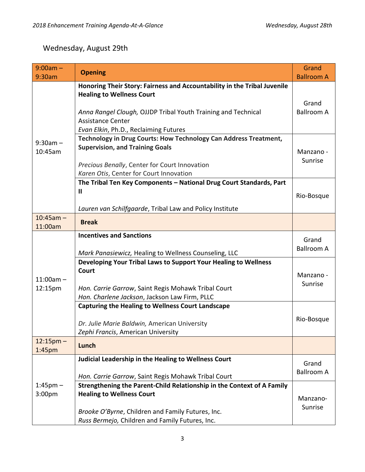## Wednesday, August 29th

| $9:00am -$<br>9:30am               | <b>Opening</b>                                                                                                                                                  | Grand<br><b>Ballroom A</b> |
|------------------------------------|-----------------------------------------------------------------------------------------------------------------------------------------------------------------|----------------------------|
| $9:30am -$<br>10:45am              | Honoring Their Story: Fairness and Accountability in the Tribal Juvenile<br><b>Healing to Wellness Court</b>                                                    | Grand                      |
|                                    | Anna Rangel Clough, OJJDP Tribal Youth Training and Technical<br><b>Assistance Center</b><br>Evan Elkin, Ph.D., Reclaiming Futures                              | <b>Ballroom A</b>          |
|                                    | Technology in Drug Courts: How Technology Can Address Treatment,<br><b>Supervision, and Training Goals</b>                                                      | Manzano -                  |
|                                    | Precious Benally, Center for Court Innovation<br>Karen Otis, Center for Court Innovation                                                                        | Sunrise                    |
|                                    | The Tribal Ten Key Components - National Drug Court Standards, Part<br>Ш<br>Lauren van Schilfgaarde, Tribal Law and Policy Institute                            | Rio-Bosque                 |
| $10:45am -$<br>11:00am             | <b>Break</b>                                                                                                                                                    |                            |
| $11:00am -$<br>12:15pm             | <b>Incentives and Sanctions</b><br>Mark Panasiewicz, Healing to Wellness Counseling, LLC                                                                        | Grand<br><b>Ballroom A</b> |
|                                    | Developing Your Tribal Laws to Support Your Healing to Wellness<br>Court<br>Hon. Carrie Garrow, Saint Regis Mohawk Tribal Court                                 | Manzano -<br>Sunrise       |
|                                    | Hon. Charlene Jackson, Jackson Law Firm, PLLC<br><b>Capturing the Healing to Wellness Court Landscape</b><br>Dr. Julie Marie Baldwin, American University       | Rio-Bosque                 |
| $12:15$ pm –<br>1:45 <sub>pm</sub> | Zephi Francis, American University<br>Lunch                                                                                                                     |                            |
| $1:45$ pm $-$<br>3:00pm            | Judicial Leadership in the Healing to Wellness Court<br>Hon. Carrie Garrow, Saint Regis Mohawk Tribal Court                                                     | Grand<br><b>Ballroom A</b> |
|                                    | Strengthening the Parent-Child Relationship in the Context of A Family<br><b>Healing to Wellness Court</b><br>Brooke O'Byrne, Children and Family Futures, Inc. | Manzano-<br>Sunrise        |
|                                    | Russ Bermejo, Children and Family Futures, Inc.                                                                                                                 |                            |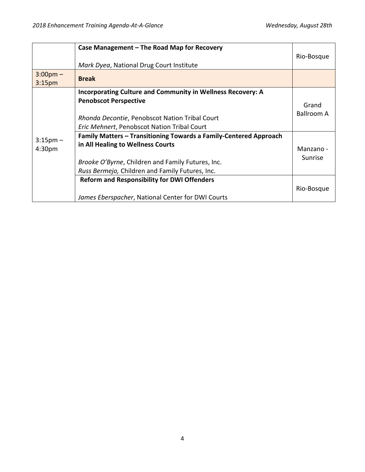|                                          | Case Management – The Road Map for Recovery<br>Mark Dyea, National Drug Court Institute                                                                                                                        | Rio-Bosque           |
|------------------------------------------|----------------------------------------------------------------------------------------------------------------------------------------------------------------------------------------------------------------|----------------------|
| $3:00 \text{pm} -$<br>3:15 <sub>pm</sub> | <b>Break</b>                                                                                                                                                                                                   |                      |
| $3:15 \text{pm} -$<br>4:30 <sub>pm</sub> | <b>Incorporating Culture and Community in Wellness Recovery: A</b><br><b>Penobscot Perspective</b><br>Rhonda Decontie, Penobscot Nation Tribal Court<br><b>Eric Mehnert, Penobscot Nation Tribal Court</b>     | Grand<br>Ballroom A  |
|                                          | Family Matters - Transitioning Towards a Family-Centered Approach<br>in All Healing to Wellness Courts<br>Brooke O'Byrne, Children and Family Futures, Inc.<br>Russ Bermejo, Children and Family Futures, Inc. | Manzano -<br>Sunrise |
|                                          | <b>Reform and Responsibility for DWI Offenders</b><br>James Eberspacher, National Center for DWI Courts                                                                                                        | Rio-Bosque           |